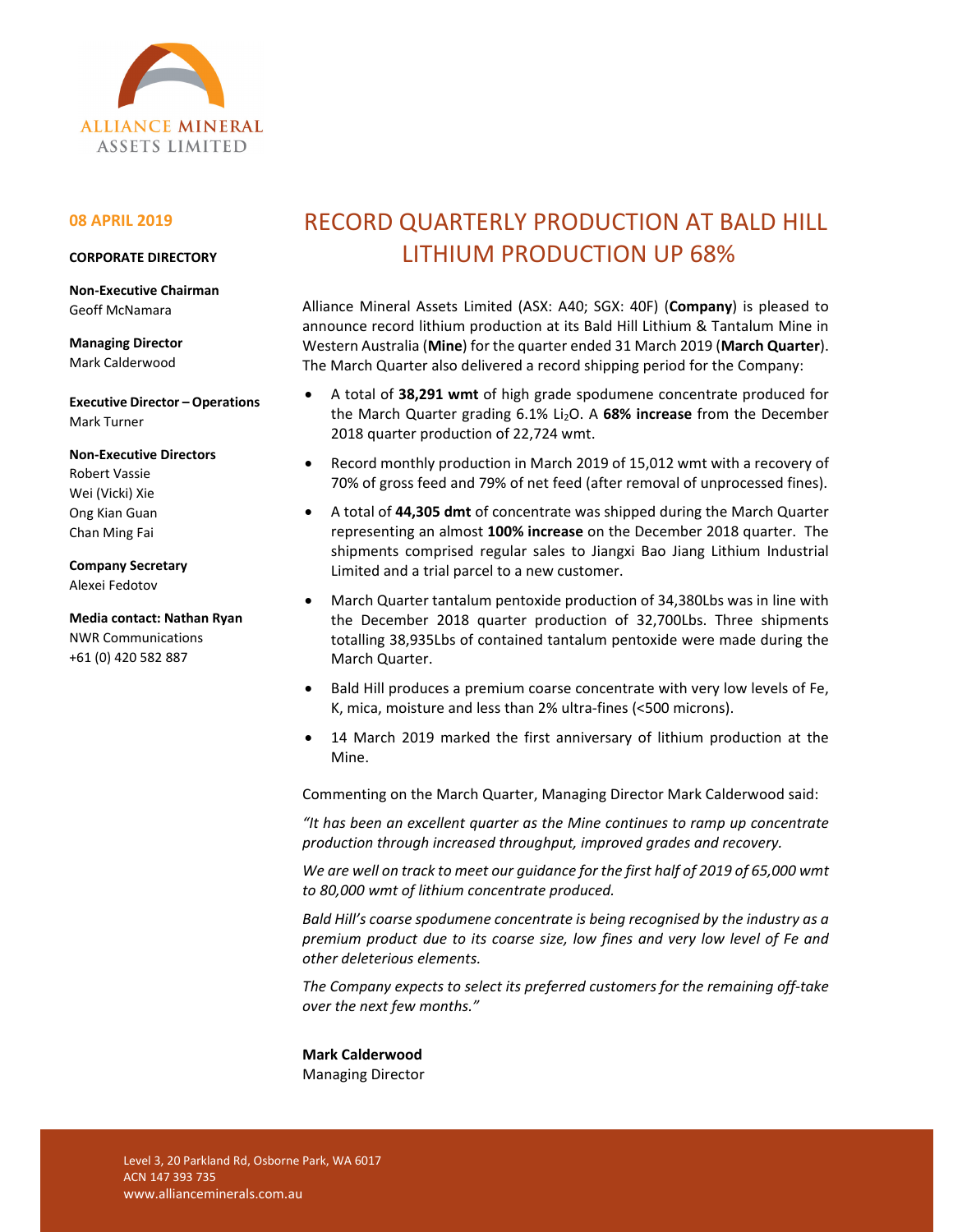

## **08 APRIL 2019**

### **CORPORATE DIRECTORY**

**Non‐Executive Chairman**  Geoff McNamara

**Managing Director**  Mark Calderwood

**Executive Director – Operations** Mark Turner

**Non‐Executive Directors** 

Robert Vassie Wei (Vicki) Xie Ong Kian Guan Chan Ming Fai

**Company Secretary** 

Alexei Fedotov

**Media contact: Nathan Ryan**  NWR Communications +61 (0) 420 582 887

# RECORD QUARTERLY PRODUCTION AT BALD HILL LITHIUM PRODUCTION UP 68%

Alliance Mineral Assets Limited (ASX: A40; SGX: 40F) (**Company**) is pleased to announce record lithium production at its Bald Hill Lithium & Tantalum Mine in Western Australia (**Mine**) for the quarter ended 31 March 2019 (**March Quarter**). The March Quarter also delivered a record shipping period for the Company:

- A total of **38,291 wmt** of high grade spodumene concentrate produced for the March Quarter grading 6.1% Li2O. A **68% increase** from the December 2018 quarter production of 22,724 wmt.
- Record monthly production in March 2019 of 15,012 wmt with a recovery of 70% of gross feed and 79% of net feed (after removal of unprocessed fines).
- A total of **44,305 dmt** of concentrate was shipped during the March Quarter representing an almost **100% increase** on the December 2018 quarter. The shipments comprised regular sales to Jiangxi Bao Jiang Lithium Industrial Limited and a trial parcel to a new customer.
- March Quarter tantalum pentoxide production of 34,380Lbs was in line with the December 2018 quarter production of 32,700Lbs. Three shipments totalling 38,935Lbs of contained tantalum pentoxide were made during the March Quarter.
- Bald Hill produces a premium coarse concentrate with very low levels of Fe, K, mica, moisture and less than 2% ultra‐fines (<500 microns).
- 14 March 2019 marked the first anniversary of lithium production at the Mine.

Commenting on the March Quarter, Managing Director Mark Calderwood said:

*"It has been an excellent quarter as the Mine continues to ramp up concentrate production through increased throughput, improved grades and recovery.* 

*We are well on track to meet our guidance for the first half of 2019 of 65,000 wmt to 80,000 wmt of lithium concentrate produced.* 

*Bald Hill's coarse spodumene concentrate is being recognised by the industry as a premium product due to its coarse size, low fines and very low level of Fe and other deleterious elements.* 

*The Company expects to select its preferred customers for the remaining off‐take over the next few months."* 

**Mark Calderwood**  Managing Director